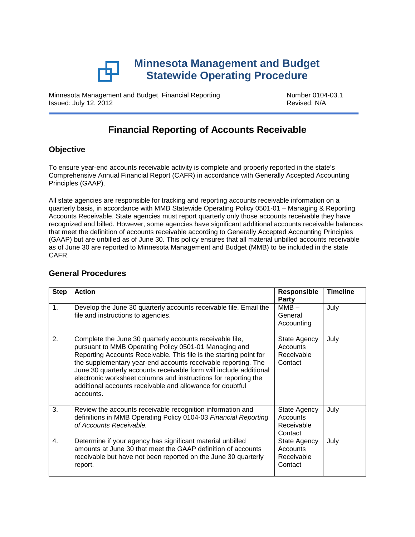

Minnesota Management and Budget, Financial Reporting Number 0104-03.1<br>Issued: July 12, 2012 Issued: July 12, 2012

# **Financial Reporting of Accounts Receivable**

### **Objective**

To ensure year‐end accounts receivable activity is complete and properly reported in the state's Comprehensive Annual Financial Report (CAFR) in accordance with Generally Accepted Accounting Principles (GAAP).

All state agencies are responsible for tracking and reporting accounts receivable information on a quarterly basis, in accordance with MMB Statewide Operating Policy 0501‐01 – Managing & Reporting Accounts Receivable. State agencies must report quarterly only those accounts receivable they have recognized and billed. However, some agencies have significant additional accounts receivable balances that meet the definition of accounts receivable according to Generally Accepted Accounting Principles (GAAP) but are unbilled as of June 30. This policy ensures that all material unbilled accounts receivable as of June 30 are reported to Minnesota Management and Budget (MMB) to be included in the state CAFR.

| <b>Step</b>    | <b>Action</b>                                                                                                                                                                                                                                                                                                                                                                                                                                                               | <b>Responsible</b><br>Party                       | <b>Timeline</b> |
|----------------|-----------------------------------------------------------------------------------------------------------------------------------------------------------------------------------------------------------------------------------------------------------------------------------------------------------------------------------------------------------------------------------------------------------------------------------------------------------------------------|---------------------------------------------------|-----------------|
| 1 <sub>1</sub> | Develop the June 30 quarterly accounts receivable file. Email the<br>file and instructions to agencies.                                                                                                                                                                                                                                                                                                                                                                     | $MMB -$<br>General<br>Accounting                  | July            |
| 2.             | Complete the June 30 quarterly accounts receivable file,<br>pursuant to MMB Operating Policy 0501-01 Managing and<br>Reporting Accounts Receivable. This file is the starting point for<br>the supplementary year-end accounts receivable reporting. The<br>June 30 quarterly accounts receivable form will include additional<br>electronic worksheet columns and instructions for reporting the<br>additional accounts receivable and allowance for doubtful<br>accounts. | State Agency<br>Accounts<br>Receivable<br>Contact | July            |
| 3.             | Review the accounts receivable recognition information and<br>definitions in MMB Operating Policy 0104-03 Financial Reporting<br>of Accounts Receivable.                                                                                                                                                                                                                                                                                                                    | State Agency<br>Accounts<br>Receivable<br>Contact | July            |
| 4.             | Determine if your agency has significant material unbilled<br>amounts at June 30 that meet the GAAP definition of accounts<br>receivable but have not been reported on the June 30 quarterly<br>report.                                                                                                                                                                                                                                                                     | State Agency<br>Accounts<br>Receivable<br>Contact | July            |

## **General Procedures**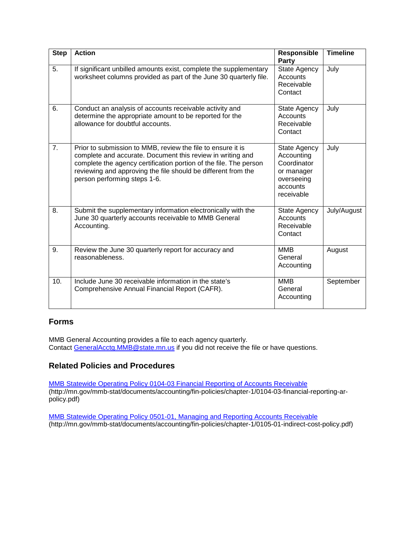| <b>Step</b> | <b>Action</b>                                                                                                                                                                                                                                                                                   | Responsible<br><b>Party</b>                                                                     | <b>Timeline</b> |
|-------------|-------------------------------------------------------------------------------------------------------------------------------------------------------------------------------------------------------------------------------------------------------------------------------------------------|-------------------------------------------------------------------------------------------------|-----------------|
| 5.          | If significant unbilled amounts exist, complete the supplementary<br>worksheet columns provided as part of the June 30 quarterly file.                                                                                                                                                          | <b>State Agency</b><br>Accounts<br>Receivable<br>Contact                                        | July            |
| 6.          | Conduct an analysis of accounts receivable activity and<br>determine the appropriate amount to be reported for the<br>allowance for doubtful accounts.                                                                                                                                          | State Agency<br>Accounts<br>Receivable<br>Contact                                               | July            |
| 7.          | Prior to submission to MMB, review the file to ensure it is<br>complete and accurate. Document this review in writing and<br>complete the agency certification portion of the file. The person<br>reviewing and approving the file should be different from the<br>person performing steps 1-6. | State Agency<br>Accounting<br>Coordinator<br>or manager<br>overseeing<br>accounts<br>receivable | July            |
| 8.          | Submit the supplementary information electronically with the<br>June 30 quarterly accounts receivable to MMB General<br>Accounting.                                                                                                                                                             | State Agency<br><b>Accounts</b><br>Receivable<br>Contact                                        | July/August     |
| 9.          | Review the June 30 quarterly report for accuracy and<br>reasonableness.                                                                                                                                                                                                                         | <b>MMB</b><br>General<br>Accounting                                                             | August          |
| 10.         | Include June 30 receivable information in the state's<br>Comprehensive Annual Financial Report (CAFR).                                                                                                                                                                                          | <b>MMB</b><br>General<br>Accounting                                                             | September       |

### **Forms**

MMB General Accounting provides a file to each agency quarterly. Contact <u>GeneralAcctg.MMB@state.mn.us</u> if you did not receive the file or have questions.

### **Related Policies and Procedures**

[MMB Statewide Operating Policy 0104-03 Financial Reporting of Accounts Receivable](http://mn.gov/mmb-stat/documents/accounting/fin-policies/chapter-1/0104-03-financial-reporting-ar-policy.pdf) (http://mn.gov/mmb-stat/documents/accounting/fin-policies/chapter-1/0104-03-financial-reporting-arpolicy.pdf)

[MMB Statewide Operating Policy 0501-01, Managing and Reporting Accounts Receivable](http://mn.gov/mmb-stat/documents/accounting/fin-policies/chapter-1/0105-01-indirect-cost-policy.pdf) (http://mn.gov/mmb-stat/documents/accounting/fin-policies/chapter-1/0105-01-indirect-cost-policy.pdf)